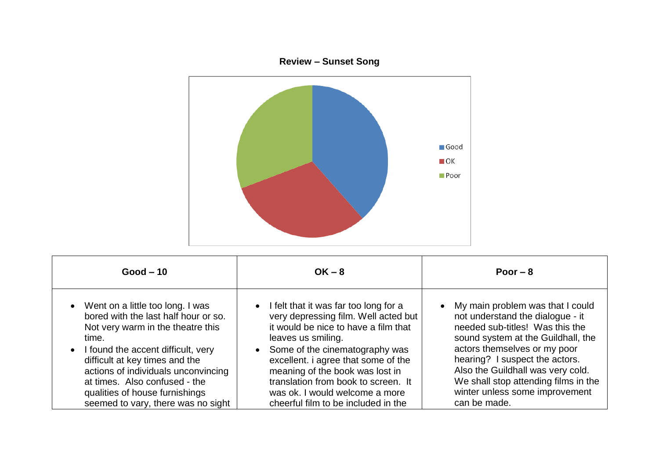

| $Good - 10$                          | $OK - 8$                                | Poor $-8$                            |
|--------------------------------------|-----------------------------------------|--------------------------------------|
| • Went on a little too long. I was   | • I felt that it was far too long for a | • My main problem was that I could   |
| bored with the last half hour or so. | very depressing film. Well acted but    | not understand the dialogue - it     |
| Not very warm in the theatre this    | it would be nice to have a film that    | needed sub-titles! Was this the      |
| time.                                | leaves us smiling.                      | sound system at the Guildhall, the   |
| • I found the accent difficult, very | • Some of the cinematography was        | actors themselves or my poor         |
| difficult at key times and the       | excellent. i agree that some of the     | hearing? I suspect the actors.       |
| actions of individuals unconvincing  | meaning of the book was lost in         | Also the Guildhall was very cold.    |
| at times. Also confused - the        | translation from book to screen. It     | We shall stop attending films in the |
| qualities of house furnishings       | was ok. I would welcome a more          | winter unless some improvement       |
| seemed to vary, there was no sight   | cheerful film to be included in the     | can be made.                         |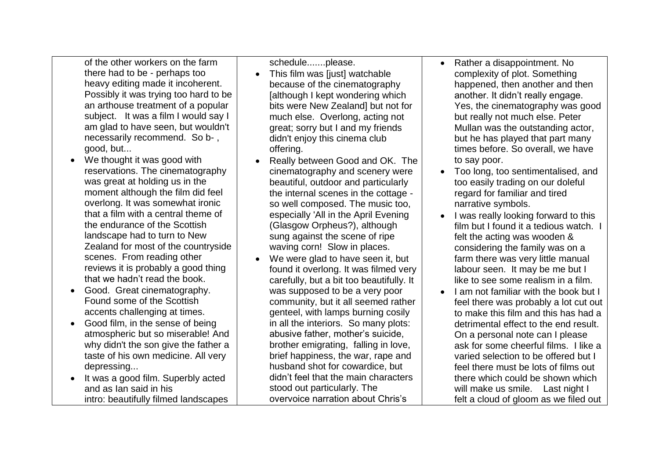of the other workers on the farm there had to be - perhaps too heavy editing made it incoherent. Possibly it was trying too hard to be an arthouse treatment of a popular subject. It was a film I would say I am glad to have seen, but wouldn't necessarily recommend. So b- , good, but...

- We thought it was good with reservations. The cinematography was great at holding us in the moment although the film did feel overlong. It was somewhat ironic that a film with a central theme of the endurance of the Scottish landscape had to turn to New Zealand for most of the countryside scenes. From reading other reviews it is probably a good thing that we hadn't read the book.
- Good. Great cinematography. Found some of the Scottish accents challenging at times.
- Good film, in the sense of being atmospheric but so miserable! And why didn't the son give the father a taste of his own medicine. All very depressing...
- It was a good film. Superbly acted and as Ian said in his intro: beautifully filmed landscapes

schedule.......please.

- This film was [just] watchable because of the cinematography [although I kept wondering which bits were New Zealand] but not for much else. Overlong, acting not great; sorry but I and my friends didn't enjoy this cinema club offering.
- Really between Good and OK. The cinematography and scenery were beautiful, outdoor and particularly the internal scenes in the cottage so well composed. The music too, especially 'All in the April Evening (Glasgow Orpheus?), although sung against the scene of ripe waving corn! Slow in places.
- We were glad to have seen it, but found it overlong. It was filmed very carefully, but a bit too beautifully. It was supposed to be a very poor community, but it all seemed rather genteel, with lamps burning cosily in all the interiors. So many plots: abusive father, mother's suicide, brother emigrating, falling in love, brief happiness, the war, rape and husband shot for cowardice, but didn't feel that the main characters stood out particularly. The overvoice narration about Chris's
- Rather a disappointment. No complexity of plot. Something happened, then another and then another. It didn't really engage. Yes, the cinematography was good but really not much else. Peter Mullan was the outstanding actor, but he has played that part many times before. So overall, we have to say poor.
- Too long, too sentimentalised, and too easily trading on our doleful regard for familiar and tired narrative symbols.
- I was really looking forward to this film but I found it a tedious watch. I felt the acting was wooden & considering the family was on a farm there was very little manual labour seen. It may be me but I like to see some realism in a film.
- $\bullet$  I am not familiar with the book but I feel there was probably a lot cut out to make this film and this has had a detrimental effect to the end result. On a personal note can I please ask for some cheerful films. I like a varied selection to be offered but I feel there must be lots of films out there which could be shown which will make us smile. Last night I felt a cloud of gloom as we filed out